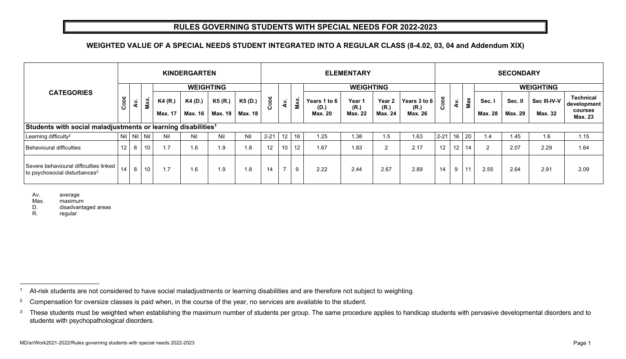## **RULES GOVERNING STUDENTS WITH SPECIAL NEEDS FOR 2022-2023**

## **WEIGHTED VALUE OF A SPECIAL NEEDS STUDENT INTEGRATED INTO A REGULAR CLASS (8-4.02, 03, 04 and Addendum XIX)**

|                                                                                  |      |                      |                 |                    | <b>KINDERGARTEN</b> |                    |                           | <b>ELEMENTARY</b> |                 |      |                                        |                                  |                                             |                                 |          | <b>SECONDARY</b> |              |                          |                           |                         |                                                              |  |  |
|----------------------------------------------------------------------------------|------|----------------------|-----------------|--------------------|---------------------|--------------------|---------------------------|-------------------|-----------------|------|----------------------------------------|----------------------------------|---------------------------------------------|---------------------------------|----------|------------------|--------------|--------------------------|---------------------------|-------------------------|--------------------------------------------------------------|--|--|
|                                                                                  |      |                      |                 | <b>WEIGHTING</b>   |                     |                    |                           |                   |                 |      |                                        | <b>WEIGHTING</b>                 |                                             |                                 |          |                  |              | <b>WEIGHTING</b>         |                           |                         |                                                              |  |  |
| <b>CATEGORIES</b>                                                                | CODE | $\tilde{\mathbf{z}}$ | <b>MAX</b>      | K4 (R.)<br>Max. 17 | K4 (D.)<br>Max. 16  | K5 (R.)<br>Max. 19 | K5 (D.)<br><b>Max. 18</b> | CODE              | ÀV.             | MAX. | Years 1 to 6<br>(D.)<br><b>Max. 20</b> | Year 1<br>(R.)<br><b>Max. 22</b> | Year <sub>2</sub><br>(R.)<br><b>Max. 24</b> | Years 3 to 6<br>(R.)<br>Max. 26 | CODE     | Av.              | Max          | Sec. I<br><b>Max. 28</b> | Sec. II<br><b>Max. 29</b> | Sec III-IV-V<br>Max. 32 | <b>Technical</b><br>development<br>courses<br><b>Max. 23</b> |  |  |
| Students with social maladjustments or learning disabilities <sup>1</sup>        |      |                      |                 |                    |                     |                    |                           |                   |                 |      |                                        |                                  |                                             |                                 |          |                  |              |                          |                           |                         |                                                              |  |  |
| Learning difficulty <sup>2</sup>                                                 |      |                      | Nil   Nil   Nil | Nil                | Nil                 | Nil                | Nil                       | $2 - 21$          | 12 <sup>°</sup> | 16   | 1.25                                   | 1.38                             | 1.5                                         | 1.63                            | $2 - 21$ |                  | $16 \mid 20$ | 1.4                      | 1.45                      | 1.6                     | 1.15                                                         |  |  |
| Behavioural difficulties                                                         | 12   | 8                    | 10              | 1.7                | 1.6                 | 1.9                | 1.8                       | 12                | 10              | 12   | 1.67                                   | 1.83                             | 2                                           | 2.17                            | 12       | 12 <sub>2</sub>  | 14           | 2                        | 2.07                      | 2.29                    | 1.64                                                         |  |  |
| Severe behavioural difficulties linked<br>$\,$ to psychosocial disturbances $^3$ | 14   | 8                    | 10              | 1.7                | 1.6                 | 1.9                | 1.8                       | 14                | ⇁               | 9    | 2.22                                   | 2.44                             | 2.67                                        | 2.89                            | 14       | 9                | 11           | 2.55                     | 2.64                      | 2.91                    | 2.09                                                         |  |  |

Av. average

Max. maximum

D. disadvantaged areas

R. regular

<sup>1</sup> At-risk students are not considered to have social maladjustments or learning disabilities and are therefore not subject to weighting.

<sup>2</sup> Compensation for oversize classes is paid when, in the course of the year, no services are available to the student.

<sup>3</sup> These students must be weighted when establishing the maximum number of students per group. The same procedure applies to handicap students with pervasive developmental disorders and to students with psychopathological disorders.